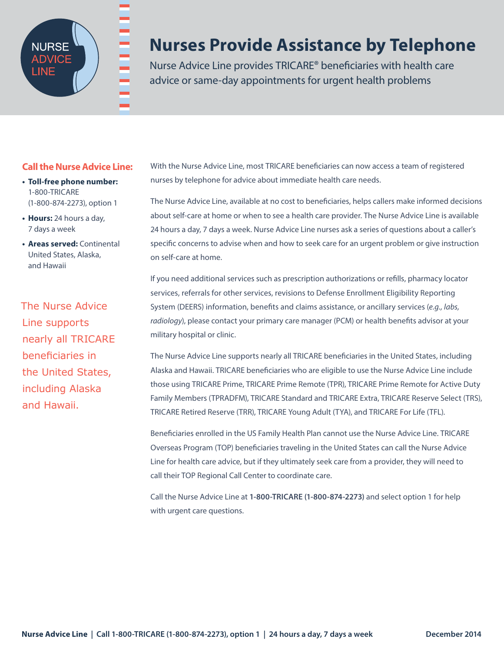

## **Nurses Provide Assistance by Telephone**

Nurse Advice Line provides TRICARE® beneficiaries with health care advice or same-day appointments for urgent health problems

### **Call the Nurse Advice Line:**

- **• Toll-free phone number:**  1-800-TRICARE (1-800-874-2273), option 1
- **• Hours:** 24 hours a day, 7 days a week
- **• Areas served:** Continental United States, Alaska, and Hawaii

The Nurse Advice Line supports nearly all TRICARE beneficiaries in the United States, including Alaska and Hawaii.

With the Nurse Advice Line, most TRICARE beneficiaries can now access a team of registered nurses by telephone for advice about immediate health care needs.

The Nurse Advice Line, available at no cost to beneficiaries, helps callers make informed decisions about self-care at home or when to see a health care provider. The Nurse Advice Line is available 24 hours a day, 7 days a week. Nurse Advice Line nurses ask a series of questions about a caller's specific concerns to advise when and how to seek care for an urgent problem or give instruction on self-care at home.

If you need additional services such as prescription authorizations or refills, pharmacy locator services, referrals for other services, revisions to Defense Enrollment Eligibility Reporting System (DEERS) information, benefits and claims assistance, or ancillary services (*e.g., labs, radiology*), please contact your primary care manager (PCM) or health benefits advisor at your military hospital or clinic.

The Nurse Advice Line supports nearly all TRICARE beneficiaries in the United States, including Alaska and Hawaii. TRICARE beneficiaries who are eligible to use the Nurse Advice Line include those using TRICARE Prime, TRICARE Prime Remote (TPR), TRICARE Prime Remote for Active Duty Family Members (TPRADFM), TRICARE Standard and TRICARE Extra, TRICARE Reserve Select (TRS), TRICARE Retired Reserve (TRR), TRICARE Young Adult (TYA), and TRICARE For Life (TFL).

Beneficiaries enrolled in the US Family Health Plan cannot use the Nurse Advice Line. TRICARE Overseas Program (TOP) beneficiaries traveling in the United States can call the Nurse Advice Line for health care advice, but if they ultimately seek care from a provider, they will need to call their TOP Regional Call Center to coordinate care.

Call the Nurse Advice Line at **1-800-TRICARE (1-800-874-2273)** and select option 1 for help with urgent care questions.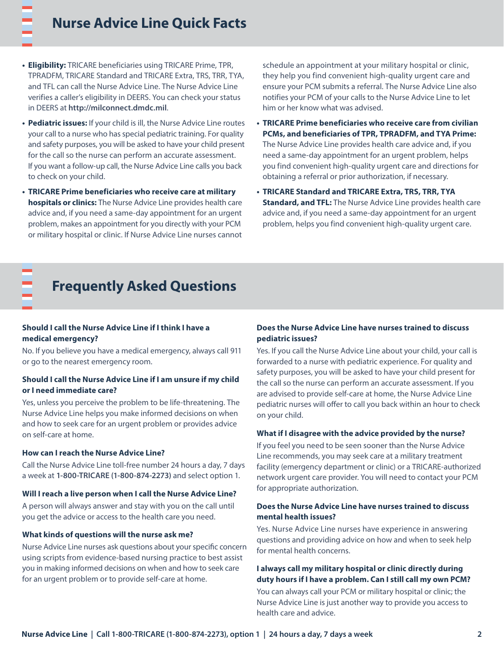- **• Eligibility:** TRICARE beneficiaries using TRICARE Prime, TPR, TPRADFM, TRICARE Standard and TRICARE Extra, TRS, TRR, TYA, and TFL can call the Nurse Advice Line. The Nurse Advice Line verifies a caller's eligibility in DEERS. You can check your status in DEERS at **<http://milconnect.dmdc.mil>**.
- **• Pediatric issues:** If your child is ill, the Nurse Advice Line routes your call to a nurse who has special pediatric training. For quality and safety purposes, you will be asked to have your child present for the call so the nurse can perform an accurate assessment. If you want a follow-up call, the Nurse Advice Line calls you back to check on your child.
- **• TRICARE Prime beneficiaries who receive care at military hospitals or clinics:** The Nurse Advice Line provides health care advice and, if you need a same-day appointment for an urgent problem, makes an appointment for you directly with your PCM or military hospital or clinic. If Nurse Advice Line nurses cannot

schedule an appointment at your military hospital or clinic, they help you find convenient high-quality urgent care and ensure your PCM submits a referral. The Nurse Advice Line also notifies your PCM of your calls to the Nurse Advice Line to let him or her know what was advised.

- **• TRICARE Prime beneficiaries who receive care from civilian PCMs, and beneficiaries of TPR, TPRADFM, and TYA Prime:** The Nurse Advice Line provides health care advice and, if you need a same-day appointment for an urgent problem, helps you find convenient high-quality urgent care and directions for obtaining a referral or prior authorization, if necessary.
- **• TRICARE Standard and TRICARE Extra, TRS, TRR, TYA Standard, and TFL:** The Nurse Advice Line provides health care advice and, if you need a same-day appointment for an urgent problem, helps you find convenient high-quality urgent care.

## **Frequently Asked Questions**

#### **Should I call the Nurse Advice Line if I think I have a medical emergency?**

No. If you believe you have a medical emergency, always call 911 or go to the nearest emergency room.

#### **Should I call the Nurse Advice Line if I am unsure if my child or I need immediate care?**

Yes, unless you perceive the problem to be life-threatening. The Nurse Advice Line helps you make informed decisions on when and how to seek care for an urgent problem or provides advice on self-care at home.

#### **How can I reach the Nurse Advice Line?**

Call the Nurse Advice Line toll-free number 24 hours a day, 7 days a week at **1-800-TRICARE (1-800-874-2273)** and select option 1.

#### **Will I reach a live person when I call the Nurse Advice Line?**

A person will always answer and stay with you on the call until you get the advice or access to the health care you need.

#### **What kinds of questions will the nurse ask me?**

Nurse Advice Line nurses ask questions about your specific concern using scripts from evidence-based nursing practice to best assist you in making informed decisions on when and how to seek care for an urgent problem or to provide self-care at home.

#### **Does the Nurse Advice Line have nurses trained to discuss pediatric issues?**

Yes. If you call the Nurse Advice Line about your child, your call is forwarded to a nurse with pediatric experience. For quality and safety purposes, you will be asked to have your child present for the call so the nurse can perform an accurate assessment. If you are advised to provide self-care at home, the Nurse Advice Line pediatric nurses will offer to call you back within an hour to check on your child.

#### **What if I disagree with the advice provided by the nurse?**

If you feel you need to be seen sooner than the Nurse Advice Line recommends, you may seek care at a military treatment facility (emergency department or clinic) or a TRICARE-authorized network urgent care provider. You will need to contact your PCM for appropriate authorization.

#### **Does the Nurse Advice Line have nurses trained to discuss mental health issues?**

Yes. Nurse Advice Line nurses have experience in answering questions and providing advice on how and when to seek help for mental health concerns.

#### **I always call my military hospital or clinic directly during duty hours if I have a problem. Can I still call my own PCM?**

You can always call your PCM or military hospital or clinic; the Nurse Advice Line is just another way to provide you access to health care and advice.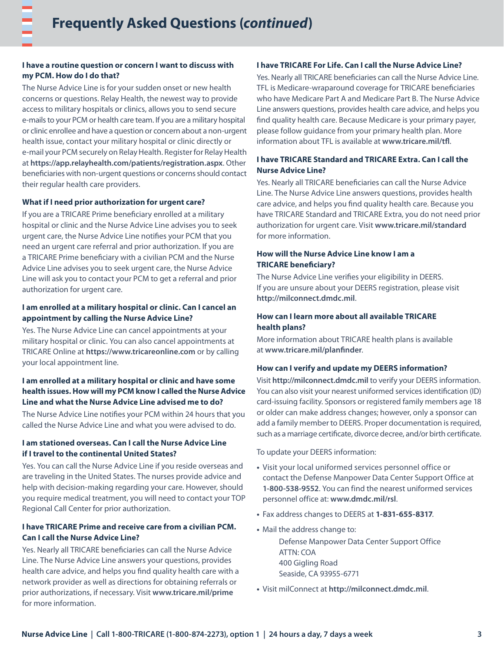#### **I have a routine question or concern I want to discuss with my PCM. How do I do that?**

The Nurse Advice Line is for your sudden onset or new health concerns or questions. Relay Health, the newest way to provide access to military hospitals or clinics, allows you to send secure e-mails to your PCM or health care team. If you are a military hospital or clinic enrollee and have a question or concern about a non-urgent health issue, contact your military hospital or clinic directly or e-mail your PCM securely on Relay Health. Register for Relay Health at **<https://app.relayhealth.com/patients/registration.aspx>**. Other beneficiaries with non-urgent questions or concerns should contact their regular health care providers.

#### **What if I need prior authorization for urgent care?**

If you are a TRICARE Prime beneficiary enrolled at a military hospital or clinic and the Nurse Advice Line advises you to seek urgent care, the Nurse Advice Line notifies your PCM that you need an urgent care referral and prior authorization. If you are a TRICARE Prime beneficiary with a civilian PCM and the Nurse Advice Line advises you to seek urgent care, the Nurse Advice Line will ask you to contact your PCM to get a referral and prior authorization for urgent care.

#### **I am enrolled at a military hospital or clinic. Can I cancel an appointment by calling the Nurse Advice Line?**

Yes. The Nurse Advice Line can cancel appointments at your military hospital or clinic. You can also cancel appointments at TRICARE Online at **<https://www.tricareonline.com>** or by calling your local appointment line.

#### **I am enrolled at a military hospital or clinic and have some health issues. How will my PCM know I called the Nurse Advice Line and what the Nurse Advice Line advised me to do?**

The Nurse Advice Line notifies your PCM within 24 hours that you called the Nurse Advice Line and what you were advised to do.

#### **I am stationed overseas. Can I call the Nurse Advice Line if I travel to the continental United States?**

Yes. You can call the Nurse Advice Line if you reside overseas and are traveling in the United States. The nurses provide advice and help with decision-making regarding your care. However, should you require medical treatment, you will need to contact your TOP Regional Call Center for prior authorization.

#### **I have TRICARE Prime and receive care from a civilian PCM. Can I call the Nurse Advice Line?**

Yes. Nearly all TRICARE beneficiaries can call the Nurse Advice Line. The Nurse Advice Line answers your questions, provides health care advice, and helps you find quality health care with a network provider as well as directions for obtaining referrals or prior authorizations, if necessary. Visit **[www.tricare.mil/prime](http://www.tricare.mil/prime)** for more information.

#### **I have TRICARE For Life. Can I call the Nurse Advice Line?**

Yes. Nearly all TRICARE beneficiaries can call the Nurse Advice Line. TFL is Medicare-wraparound coverage for TRICARE beneficiaries who have Medicare Part A and Medicare Part B. The Nurse Advice Line answers questions, provides health care advice, and helps you find quality health care. Because Medicare is your primary payer, please follow guidance from your primary health plan. More information about TFL is available at **[www.tricare.mil/tfl](http://www.tricare.mil/tfl)**.

#### **I have TRICARE Standard and TRICARE Extra. Can I call the Nurse Advice Line?**

Yes. Nearly all TRICARE beneficiaries can call the Nurse Advice Line. The Nurse Advice Line answers questions, provides health care advice, and helps you find quality health care. Because you have TRICARE Standard and TRICARE Extra, you do not need prior authorization for urgent care. Visit **[www.tricare.mil/standard](http://www.tricare.mil/standard)** for more information.

#### **How will the Nurse Advice Line know I am a TRICARE beneficiary?**

The Nurse Advice Line verifies your eligibility in DEERS. If you are unsure about your DEERS registration, please visit **<http://milconnect.dmdc.mil>**.

#### **How can I learn more about all available TRICARE health plans?**

More information about TRICARE health plans is available at **[www.tricare.mil/planfinder](http://www.tricare.mil/planfinder)**.

#### **How can I verify and update my DEERS information?**

Visit **<http://milconnect.dmdc.mil>** to verify your DEERS information. You can also visit your nearest uniformed services identification (ID) card-issuing facility. Sponsors or registered family members age 18 or older can make address changes; however, only a sponsor can add a family member to DEERS. Proper documentation is required, such as a marriage certificate, divorce decree, and/or birth certificate.

To update your DEERS information:

- **•** Visit your local uniformed services personnel office or contact the Defense Manpower Data Center Support Office at **1-800-538-9552**. You can find the nearest uniformed services personnel office at: **[www.dmdc.mil/rsl](http://www.dmdc.mil/rsl)**.
- **•** Fax address changes to DEERS at **1-831-655-8317**.
- **•** Mail the address change to:

 Defense Manpower Data Center Support Office ATTN: COA 400 Gigling Road Seaside, CA 93955-6771

**•** Visit milConnect at **<http://milconnect.dmdc.mil>**.